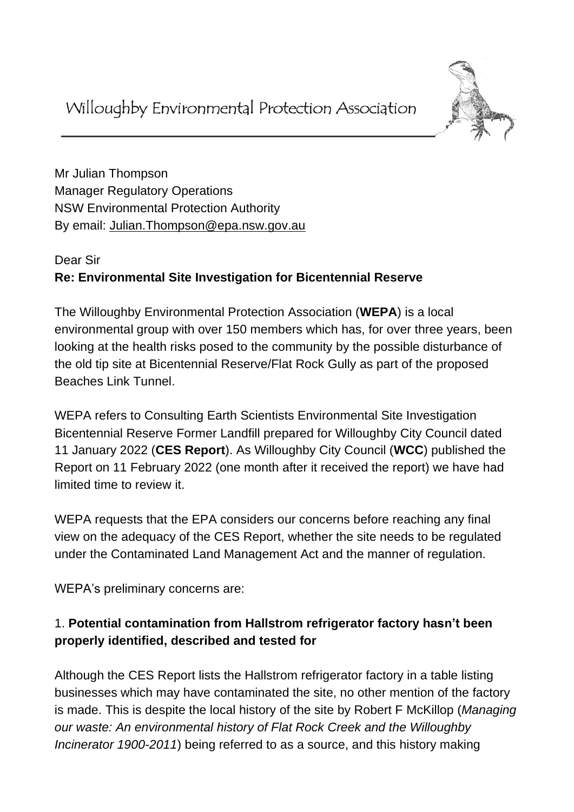

Mr Julian Thompson Manager Regulatory Operations NSW Environmental Protection Authority By email: [Julian.Thompson@epa.nsw.gov.au](mailto:Julian.Thompson@epa.nsw.gov.au)

# Dear Sir **Re: Environmental Site Investigation for Bicentennial Reserve**

The Willoughby Environmental Protection Association (**WEPA**) is a local environmental group with over 150 members which has, for over three years, been looking at the health risks posed to the community by the possible disturbance of the old tip site at Bicentennial Reserve/Flat Rock Gully as part of the proposed Beaches Link Tunnel.

WEPA refers to Consulting Earth Scientists Environmental Site Investigation Bicentennial Reserve Former Landfill prepared for Willoughby City Council dated 11 January 2022 (**CES Report**). As Willoughby City Council (**WCC**) published the Report on 11 February 2022 (one month after it received the report) we have had limited time to review it.

WEPA requests that the EPA considers our concerns before reaching any final view on the adequacy of the CES Report, whether the site needs to be regulated under the Contaminated Land Management Act and the manner of regulation.

WEPA's preliminary concerns are:

# 1. **Potential contamination from Hallstrom refrigerator factory hasn't been properly identified, described and tested for**

Although the CES Report lists the Hallstrom refrigerator factory in a table listing businesses which may have contaminated the site, no other mention of the factory is made. This is despite the local history of the site by Robert F McKillop (*Managing our waste: An environmental history of Flat Rock Creek and the Willoughby Incinerator 1900-2011*) being referred to as a source, and this history making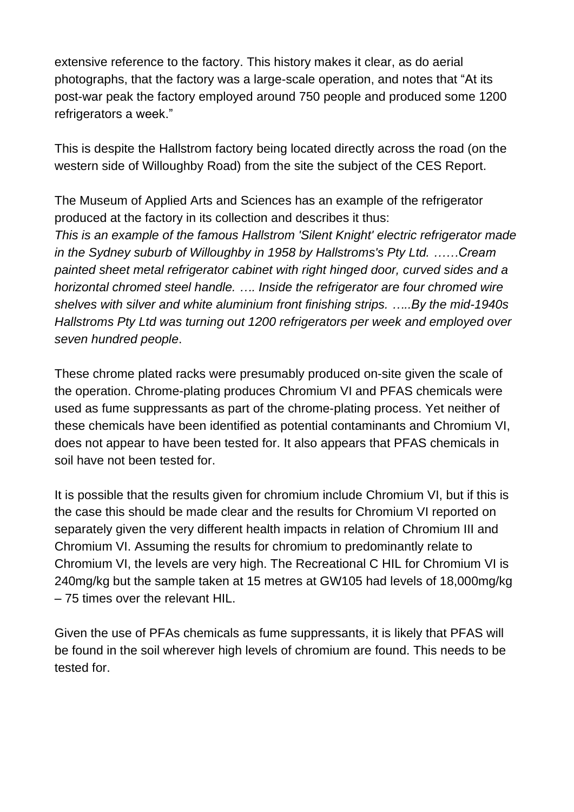extensive reference to the factory. This history makes it clear, as do aerial photographs, that the factory was a large-scale operation, and notes that "At its post-war peak the factory employed around 750 people and produced some 1200 refrigerators a week."

This is despite the Hallstrom factory being located directly across the road (on the western side of Willoughby Road) from the site the subject of the CES Report.

The Museum of Applied Arts and Sciences has an example of the refrigerator produced at the factory in its collection and describes it thus:

*This is an example of the famous Hallstrom 'Silent Knight' electric refrigerator made in the Sydney suburb of Willoughby in 1958 by Hallstroms's Pty Ltd. ……Cream painted sheet metal refrigerator cabinet with right hinged door, curved sides and a horizontal chromed steel handle. …. Inside the refrigerator are four chromed wire shelves with silver and white aluminium front finishing strips. …..By the mid-1940s Hallstroms Pty Ltd was turning out 1200 refrigerators per week and employed over seven hundred people*.

These chrome plated racks were presumably produced on-site given the scale of the operation. Chrome-plating produces Chromium VI and PFAS chemicals were used as fume suppressants as part of the chrome-plating process. Yet neither of these chemicals have been identified as potential contaminants and Chromium VI, does not appear to have been tested for. It also appears that PFAS chemicals in soil have not been tested for.

It is possible that the results given for chromium include Chromium VI, but if this is the case this should be made clear and the results for Chromium VI reported on separately given the very different health impacts in relation of Chromium III and Chromium VI. Assuming the results for chromium to predominantly relate to Chromium VI, the levels are very high. The Recreational C HIL for Chromium VI is 240mg/kg but the sample taken at 15 metres at GW105 had levels of 18,000mg/kg – 75 times over the relevant HIL.

Given the use of PFAs chemicals as fume suppressants, it is likely that PFAS will be found in the soil wherever high levels of chromium are found. This needs to be tested for.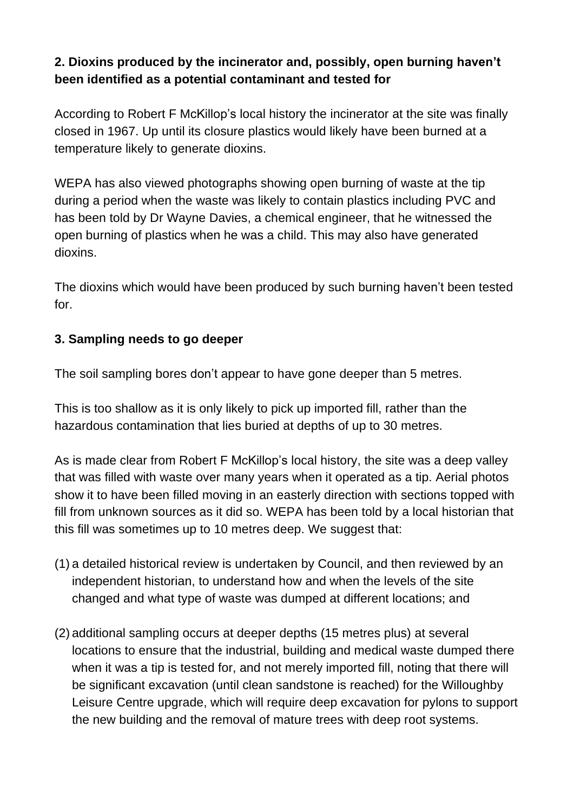## **2. Dioxins produced by the incinerator and, possibly, open burning haven't been identified as a potential contaminant and tested for**

According to Robert F McKillop's local history the incinerator at the site was finally closed in 1967. Up until its closure plastics would likely have been burned at a temperature likely to generate dioxins.

WEPA has also viewed photographs showing open burning of waste at the tip during a period when the waste was likely to contain plastics including PVC and has been told by Dr Wayne Davies, a chemical engineer, that he witnessed the open burning of plastics when he was a child. This may also have generated dioxins.

The dioxins which would have been produced by such burning haven't been tested for.

### **3. Sampling needs to go deeper**

The soil sampling bores don't appear to have gone deeper than 5 metres.

This is too shallow as it is only likely to pick up imported fill, rather than the hazardous contamination that lies buried at depths of up to 30 metres.

As is made clear from Robert F McKillop's local history, the site was a deep valley that was filled with waste over many years when it operated as a tip. Aerial photos show it to have been filled moving in an easterly direction with sections topped with fill from unknown sources as it did so. WEPA has been told by a local historian that this fill was sometimes up to 10 metres deep. We suggest that:

- (1) a detailed historical review is undertaken by Council, and then reviewed by an independent historian, to understand how and when the levels of the site changed and what type of waste was dumped at different locations; and
- (2) additional sampling occurs at deeper depths (15 metres plus) at several locations to ensure that the industrial, building and medical waste dumped there when it was a tip is tested for, and not merely imported fill, noting that there will be significant excavation (until clean sandstone is reached) for the Willoughby Leisure Centre upgrade, which will require deep excavation for pylons to support the new building and the removal of mature trees with deep root systems.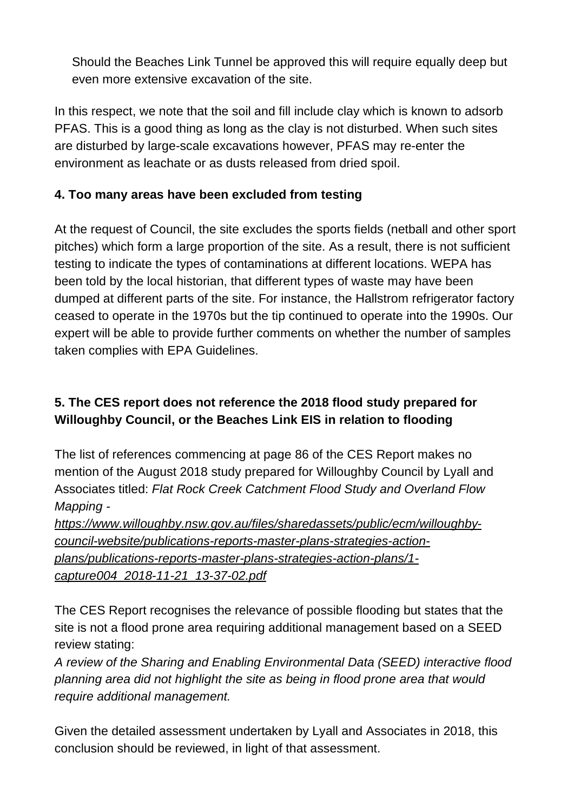Should the Beaches Link Tunnel be approved this will require equally deep but even more extensive excavation of the site.

In this respect, we note that the soil and fill include clay which is known to adsorb PFAS. This is a good thing as long as the clay is not disturbed. When such sites are disturbed by large-scale excavations however, PFAS may re-enter the environment as leachate or as dusts released from dried spoil.

## **4. Too many areas have been excluded from testing**

At the request of Council, the site excludes the sports fields (netball and other sport pitches) which form a large proportion of the site. As a result, there is not sufficient testing to indicate the types of contaminations at different locations. WEPA has been told by the local historian, that different types of waste may have been dumped at different parts of the site. For instance, the Hallstrom refrigerator factory ceased to operate in the 1970s but the tip continued to operate into the 1990s. Our expert will be able to provide further comments on whether the number of samples taken complies with EPA Guidelines.

# **5. The CES report does not reference the 2018 flood study prepared for Willoughby Council, or the Beaches Link EIS in relation to flooding**

The list of references commencing at page 86 of the CES Report makes no mention of the August 2018 study prepared for Willoughby Council by Lyall and Associates titled: *Flat Rock Creek Catchment Flood Study and Overland Flow Mapping -*

*[https://www.willoughby.nsw.gov.au/files/sharedassets/public/ecm/willoughby](https://www.willoughby.nsw.gov.au/files/sharedassets/public/ecm/willoughby-council-website/publications-reports-master-plans-strategies-action-plans/publications-reports-master-plans-strategies-action-plans/1-capture004_2018-11-21_13-37-02.pdf)[council-website/publications-reports-master-plans-strategies-action](https://www.willoughby.nsw.gov.au/files/sharedassets/public/ecm/willoughby-council-website/publications-reports-master-plans-strategies-action-plans/publications-reports-master-plans-strategies-action-plans/1-capture004_2018-11-21_13-37-02.pdf)[plans/publications-reports-master-plans-strategies-action-plans/1](https://www.willoughby.nsw.gov.au/files/sharedassets/public/ecm/willoughby-council-website/publications-reports-master-plans-strategies-action-plans/publications-reports-master-plans-strategies-action-plans/1-capture004_2018-11-21_13-37-02.pdf) [capture004\\_2018-11-21\\_13-37-02.pdf](https://www.willoughby.nsw.gov.au/files/sharedassets/public/ecm/willoughby-council-website/publications-reports-master-plans-strategies-action-plans/publications-reports-master-plans-strategies-action-plans/1-capture004_2018-11-21_13-37-02.pdf)*

The CES Report recognises the relevance of possible flooding but states that the site is not a flood prone area requiring additional management based on a SEED review stating:

*A review of the Sharing and Enabling Environmental Data (SEED) interactive flood planning area did not highlight the site as being in flood prone area that would require additional management.*

Given the detailed assessment undertaken by Lyall and Associates in 2018, this conclusion should be reviewed, in light of that assessment.